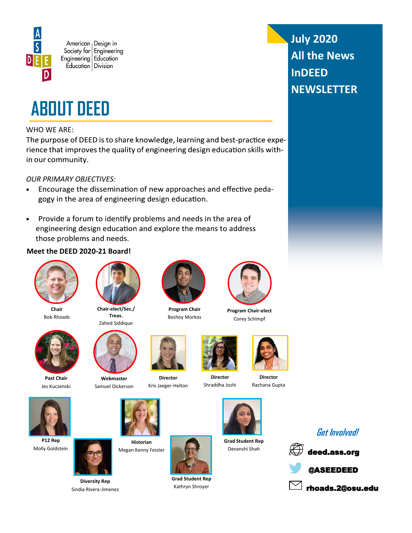



## WHO WE ARE:

The purpose of DEED is to share knowledge, learning and best-practice experience that improves the quality of engineering design education skills within our community.

## *OUR PRIMARY OBJECTIVES:*

- Encourage the dissemination of new approaches and effective peda- $\bullet$ gogy in the area of engineering design education.
- Provide a forum to identify problems and needs in the area of  $\bullet$ engineering design education and explore the means to address those problems and needs.

## **Meet the DEED 2020-21 Board!**



**Chair** Bob Rhoads



Jes Kuczenski

**P12 Rep** Molly Goldstein





**Past Chair**



**Webmaster** Samuel Dickerson



**Historian** Megan Kenny Feister



**Grad Student Rep** Kathryn Shroyer





**Director** Shraddha Joshi

**Grad Student Rep** Devanshi Shah



**July 2020**

**InDEED** 

**All the News** 

**NEWSLETTER**



Beshoy Morkos

**Director** Kris Jaeger-Helton







**Director** Rachana Gupta











**Diversity Rep** Sindia Rivera-Jimenez